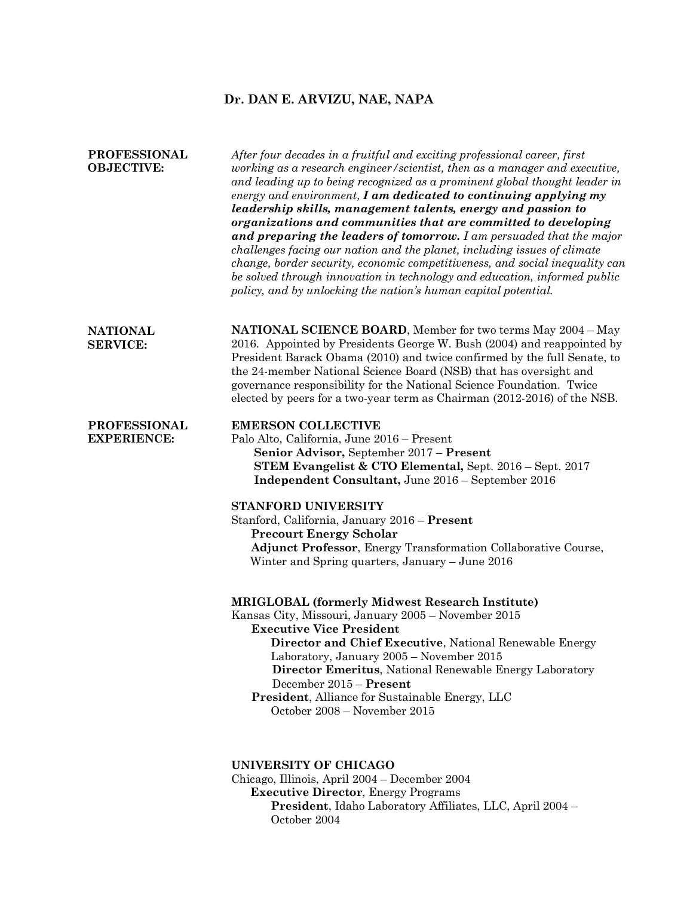# **Dr. DAN E. ARVIZU, NAE, NAPA**

| <b>PROFESSIONAL</b><br><b>OBJECTIVE:</b>  | After four decades in a fruitful and exciting professional career, first<br>working as a research engineer/scientist, then as a manager and executive,<br>and leading up to being recognized as a prominent global thought leader in<br>energy and environment, $I$ am dedicated to continuing applying my<br>leadership skills, management talents, energy and passion to<br>organizations and communities that are committed to developing<br>and preparing the leaders of tomorrow. I am persuaded that the major<br>challenges facing our nation and the planet, including issues of climate<br>change, border security, economic competitiveness, and social inequality can<br>be solved through innovation in technology and education, informed public<br>policy, and by unlocking the nation's human capital potential. |
|-------------------------------------------|---------------------------------------------------------------------------------------------------------------------------------------------------------------------------------------------------------------------------------------------------------------------------------------------------------------------------------------------------------------------------------------------------------------------------------------------------------------------------------------------------------------------------------------------------------------------------------------------------------------------------------------------------------------------------------------------------------------------------------------------------------------------------------------------------------------------------------|
| <b>NATIONAL</b><br><b>SERVICE:</b>        | <b>NATIONAL SCIENCE BOARD</b> , Member for two terms May 2004 - May<br>2016. Appointed by Presidents George W. Bush (2004) and reappointed by<br>President Barack Obama (2010) and twice confirmed by the full Senate, to<br>the 24-member National Science Board (NSB) that has oversight and<br>governance responsibility for the National Science Foundation. Twice<br>elected by peers for a two-year term as Chairman (2012-2016) of the NSB.                                                                                                                                                                                                                                                                                                                                                                              |
| <b>PROFESSIONAL</b><br><b>EXPERIENCE:</b> | <b>EMERSON COLLECTIVE</b><br>Palo Alto, California, June 2016 - Present<br>Senior Advisor, September 2017 - Present<br>STEM Evangelist & CTO Elemental, Sept. 2016 – Sept. 2017<br>Independent Consultant, June 2016 - September 2016<br>STANFORD UNIVERSITY                                                                                                                                                                                                                                                                                                                                                                                                                                                                                                                                                                    |
|                                           | Stanford, California, January 2016 - Present<br><b>Precourt Energy Scholar</b><br>Adjunct Professor, Energy Transformation Collaborative Course,<br>Winter and Spring quarters, January - June 2016                                                                                                                                                                                                                                                                                                                                                                                                                                                                                                                                                                                                                             |
|                                           | <b>MRIGLOBAL (formerly Midwest Research Institute)</b><br>Kansas City, Missouri, January 2005 - November 2015<br><b>Executive Vice President</b><br>Director and Chief Executive, National Renewable Energy<br>Laboratory, January 2005 - November 2015<br><b>Director Emeritus, National Renewable Energy Laboratory</b><br>December 2015 - Present<br>President, Alliance for Sustainable Energy, LLC<br>October 2008 – November 2015                                                                                                                                                                                                                                                                                                                                                                                         |
|                                           | UNIVERSITY OF CHICAGO<br>$Oh$ is a second $\sim$ April 0004. December 0004                                                                                                                                                                                                                                                                                                                                                                                                                                                                                                                                                                                                                                                                                                                                                      |

Chicago, Illinois, April 2004 – December 2004 **Executive Director**, Energy Programs **President**, Idaho Laboratory Affiliates, LLC, April 2004 – October 2004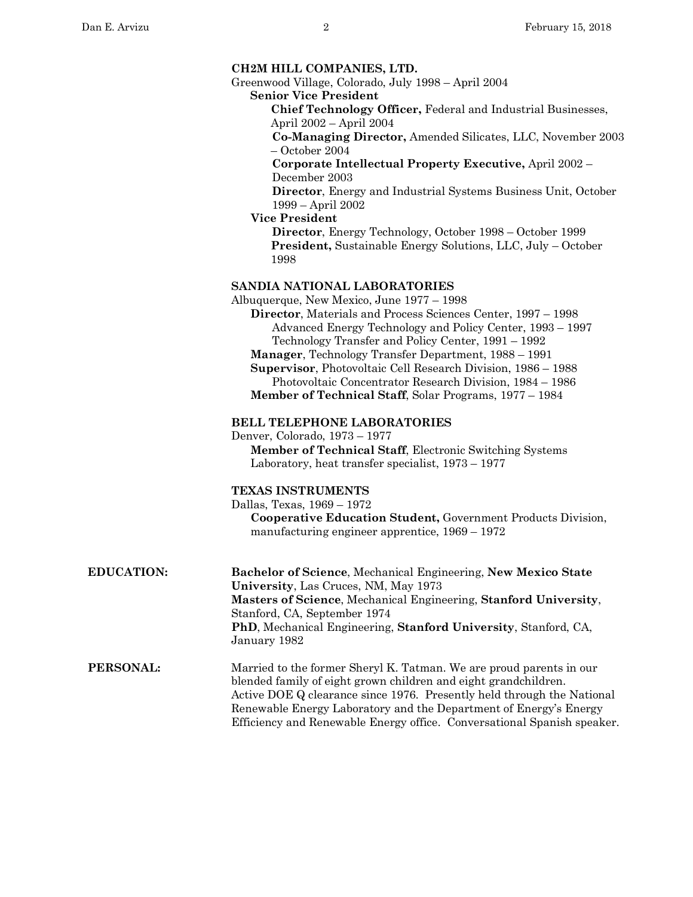Greenwood Village, Colorado, July 1998 – April 2004 **Senior Vice President**

> **Chief Technology Officer,** Federal and Industrial Businesses, April 2002 – April 2004

**Co-Managing Director,** Amended Silicates, LLC, November 2003 – October 2004

**Corporate Intellectual Property Executive,** April 2002 – December 2003

**Director**, Energy and Industrial Systems Business Unit, October 1999 – April 2002

 **Vice President**

**Director**, Energy Technology, October 1998 – October 1999 **President,** Sustainable Energy Solutions, LLC, July – October 1998

### **SANDIA NATIONAL LABORATORIES**

Albuquerque, New Mexico, June 1977 – 1998 **Director**, Materials and Process Sciences Center, 1997 – 1998 Advanced Energy Technology and Policy Center, 1993 – 1997 Technology Transfer and Policy Center, 1991 – 1992 **Manager**, Technology Transfer Department, 1988 – 1991

**Supervisor**, Photovoltaic Cell Research Division, 1986 – 1988 Photovoltaic Concentrator Research Division, 1984 – 1986 **Member of Technical Staff**, Solar Programs, 1977 – 1984

#### **BELL TELEPHONE LABORATORIES**

Denver, Colorado, 1973 – 1977 **Member of Technical Staff**, Electronic Switching Systems Laboratory, heat transfer specialist, 1973 – 1977

#### **TEXAS INSTRUMENTS**

Dallas, Texas, 1969 – 1972

**Cooperative Education Student,** Government Products Division, manufacturing engineer apprentice, 1969 – 1972

**EDUCATION: Bachelor of Science**, Mechanical Engineering, **New Mexico State University**, Las Cruces, NM, May 1973 **Masters of Science**, Mechanical Engineering, **Stanford University**, Stanford, CA, September 1974 **PhD**, Mechanical Engineering, **Stanford University**, Stanford, CA, January 1982

**PERSONAL:** Married to the former Sheryl K. Tatman. We are proud parents in our blended family of eight grown children and eight grandchildren. Active DOE Q clearance since 1976. Presently held through the National Renewable Energy Laboratory and the Department of Energy's Energy Efficiency and Renewable Energy office. Conversational Spanish speaker.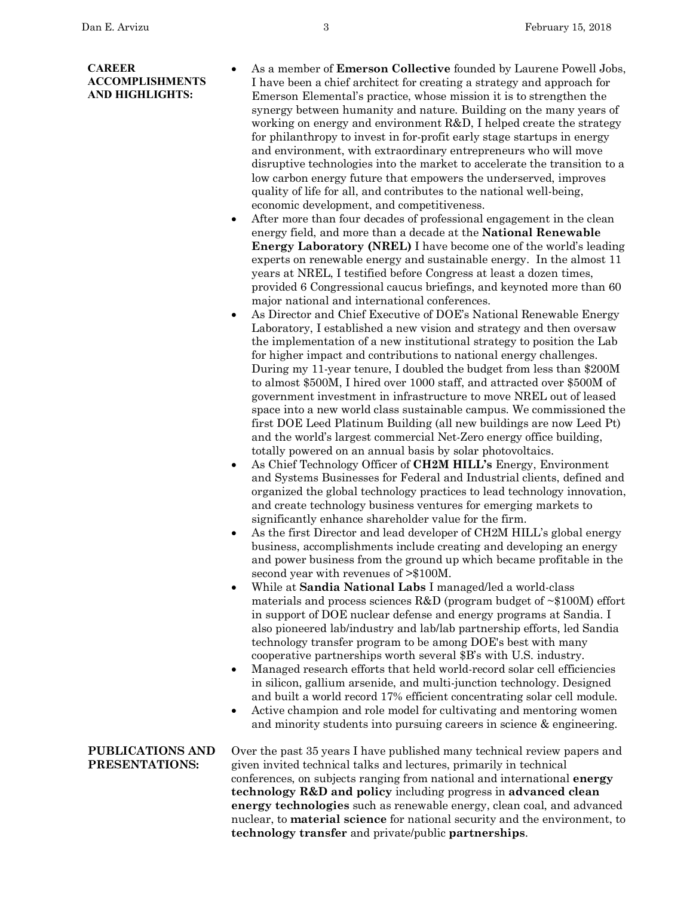### **CAREER ACCOMPLISHMENTS AND HIGHLIGHTS:**

- As a member of **Emerson Collective** founded by Laurene Powell Jobs, I have been a chief architect for creating a strategy and approach for Emerson Elemental's practice, whose mission it is to strengthen the synergy between humanity and nature. Building on the many years of working on energy and environment R&D, I helped create the strategy for philanthropy to invest in for-profit early stage startups in energy and environment, with extraordinary entrepreneurs who will move disruptive technologies into the market to accelerate the transition to a low carbon energy future that empowers the underserved, improves quality of life for all, and contributes to the national well-being, economic development, and competitiveness.
- After more than four decades of professional engagement in the clean energy field, and more than a decade at the **National Renewable Energy Laboratory (NREL)** I have become one of the world's leading experts on renewable energy and sustainable energy. In the almost 11 years at NREL, I testified before Congress at least a dozen times, provided 6 Congressional caucus briefings, and keynoted more than 60 major national and international conferences.
- As Director and Chief Executive of DOE's National Renewable Energy Laboratory, I established a new vision and strategy and then oversaw the implementation of a new institutional strategy to position the Lab for higher impact and contributions to national energy challenges. During my 11-year tenure, I doubled the budget from less than \$200M to almost \$500M, I hired over 1000 staff, and attracted over \$500M of government investment in infrastructure to move NREL out of leased space into a new world class sustainable campus. We commissioned the first DOE Leed Platinum Building (all new buildings are now Leed Pt) and the world's largest commercial Net-Zero energy office building, totally powered on an annual basis by solar photovoltaics.
- As Chief Technology Officer of **CH2M HILL's** Energy, Environment and Systems Businesses for Federal and Industrial clients, defined and organized the global technology practices to lead technology innovation, and create technology business ventures for emerging markets to significantly enhance shareholder value for the firm.
- As the first Director and lead developer of CH2M HILL's global energy business, accomplishments include creating and developing an energy and power business from the ground up which became profitable in the second year with revenues of >\$100M.
- While at **Sandia National Labs** I managed/led a world-class materials and process sciences R&D (program budget of  $\sim$ \$100M) effort in support of DOE nuclear defense and energy programs at Sandia. I also pioneered lab/industry and lab/lab partnership efforts, led Sandia technology transfer program to be among DOE's best with many cooperative partnerships worth several \$B's with U.S. industry.
- Managed research efforts that held world-record solar cell efficiencies in silicon, gallium arsenide, and multi-junction technology. Designed and built a world record 17% efficient concentrating solar cell module.
- Active champion and role model for cultivating and mentoring women and minority students into pursuing careers in science & engineering.

**PUBLICATIONS AND PRESENTATIONS:** Over the past 35 years I have published many technical review papers and given invited technical talks and lectures, primarily in technical conferences, on subjects ranging from national and international **energy technology R&D and policy** including progress in **advanced clean energy technologies** such as renewable energy, clean coal, and advanced nuclear, to **material science** for national security and the environment, to **technology transfer** and private/public **partnerships**.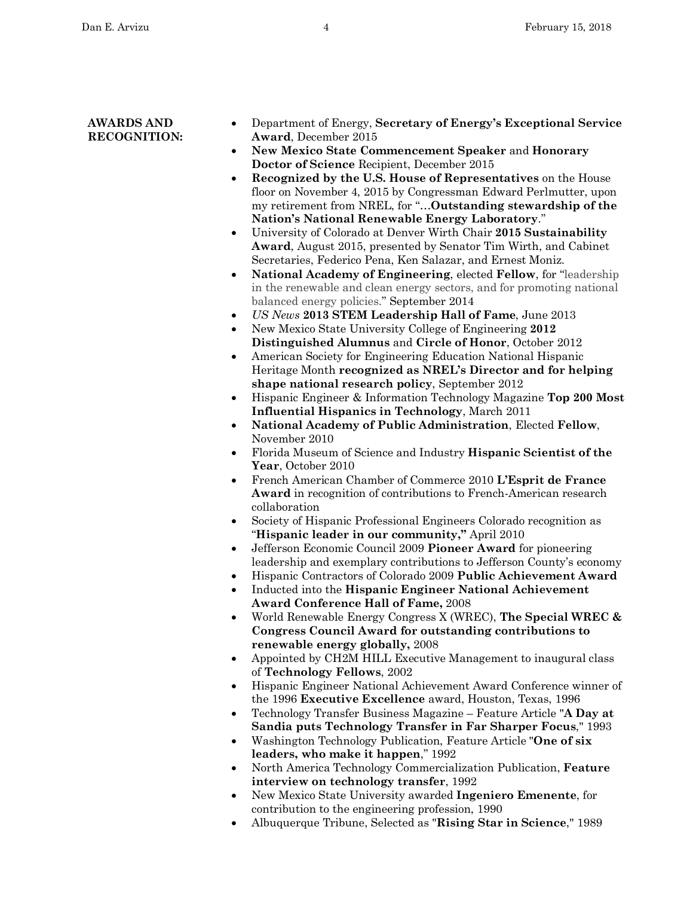## **AWARDS AND RECOGNITION:**

- Department of Energy, **Secretary of Energy's Exceptional Service Award**, December 2015
- **New Mexico State Commencement Speaker** and **Honorary Doctor of Science** Recipient, December 2015
- **Recognized by the U.S. House of Representatives** on the House floor on November 4, 2015 by Congressman Edward Perlmutter, upon my retirement from NREL, for "…**Outstanding stewardship of the Nation's National Renewable Energy Laboratory**."
- University of Colorado at Denver Wirth Chair **2015 Sustainability Award**, August 2015, presented by Senator Tim Wirth, and Cabinet Secretaries, Federico Pena, Ken Salazar, and Ernest Moniz.
- **National Academy of Engineering**, elected **Fellow**, for "leadership in the renewable and clean energy sectors, and for promoting national balanced energy policies." September 2014
- *US News* **2013 STEM Leadership Hall of Fame**, June 2013
- New Mexico State University College of Engineering **2012 Distinguished Alumnus** and **Circle of Honor**, October 2012
- American Society for Engineering Education National Hispanic Heritage Month **recognized as NREL's Director and for helping shape national research policy**, September 2012
- Hispanic Engineer & Information Technology Magazine **Top 200 Most Influential Hispanics in Technology**, March 2011
- **National Academy of Public Administration**, Elected **Fellow**, November 2010
- Florida Museum of Science and Industry **Hispanic Scientist of the Year**, October 2010
- French American Chamber of Commerce 2010 **L'Esprit de France Award** in recognition of contributions to French-American research collaboration
- Society of Hispanic Professional Engineers Colorado recognition as "**Hispanic leader in our community,"** April 2010
- Jefferson Economic Council 2009 **Pioneer Award** for pioneering leadership and exemplary contributions to Jefferson County's economy
- Hispanic Contractors of Colorado 2009 **Public Achievement Award**
- Inducted into the **Hispanic Engineer National Achievement Award Conference Hall of Fame,** 2008
- World Renewable Energy Congress X (WREC), **The Special WREC & Congress Council Award for outstanding contributions to renewable energy globally,** 2008
- Appointed by CH2M HILL Executive Management to inaugural class of **Technology Fellows**, 2002
- Hispanic Engineer National Achievement Award Conference winner of the 1996 **Executive Excellence** award, Houston, Texas, 1996
- Technology Transfer Business Magazine Feature Article "**A Day at Sandia puts Technology Transfer in Far Sharper Focus**," 1993
- Washington Technology Publication, Feature Article "**One of six leaders, who make it happen**," 1992
- North America Technology Commercialization Publication, **Feature interview on technology transfer**, 1992
- New Mexico State University awarded **Ingeniero Emenente**, for contribution to the engineering profession, 1990
- Albuquerque Tribune, Selected as "**Rising Star in Science**," 1989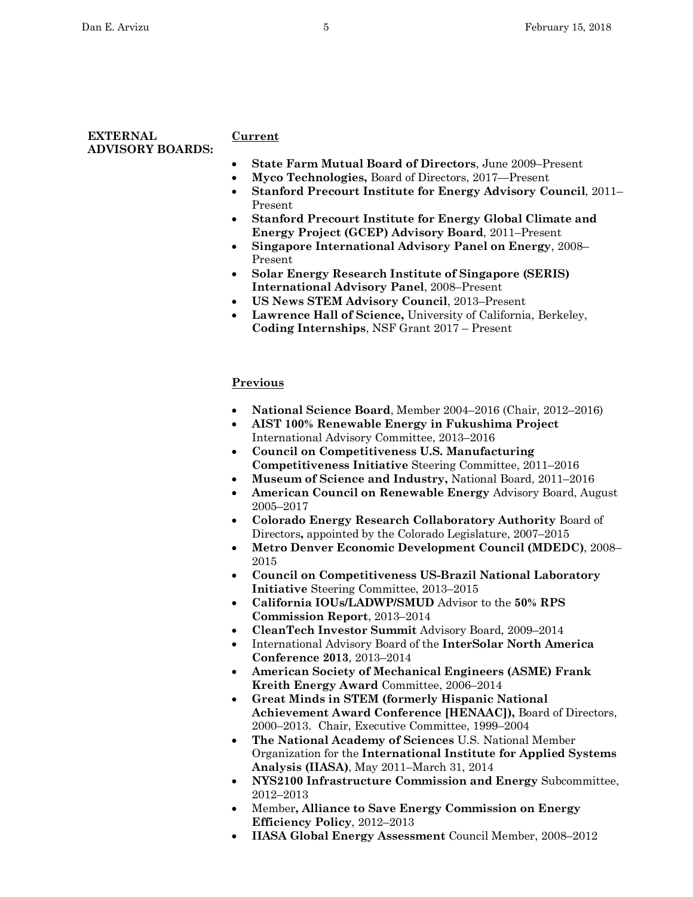## **EXTERNAL ADVISORY BOARDS:**

## **Current**

- **State Farm Mutual Board of Directors**, June 2009–Present
- **Myco Technologies,** Board of Directors, 2017—Present
- **Stanford Precourt Institute for Energy Advisory Council**, 2011– Present
- **Stanford Precourt Institute for Energy Global Climate and Energy Project (GCEP) Advisory Board**, 2011–Present
- **Singapore International Advisory Panel on Energy**, 2008– Present
- **Solar Energy Research Institute of Singapore (SERIS) International Advisory Panel**, 2008–Present
- **US News STEM Advisory Council**, 2013–Present
- **Lawrence Hall of Science,** University of California, Berkeley, **Coding Internships**, NSF Grant 2017 – Present

# **Previous**

- **National Science Board**, Member 2004–2016 (Chair, 2012–2016)
- **AIST 100% Renewable Energy in Fukushima Project**  International Advisory Committee, 2013–2016
- **Council on Competitiveness U.S. Manufacturing Competitiveness Initiative** Steering Committee, 2011–2016
- **Museum of Science and Industry,** National Board, 2011–2016
- **American Council on Renewable Energy** Advisory Board, August 2005–2017
- **Colorado Energy Research Collaboratory Authority** Board of Directors**,** appointed by the Colorado Legislature, 2007–2015
- **Metro Denver Economic Development Council (MDEDC)**, 2008– 2015
- **Council on Competitiveness US-Brazil National Laboratory Initiative** Steering Committee, 2013–2015
- **California IOUs/LADWP/SMUD** Advisor to the **50% RPS Commission Report**, 2013–2014
- **CleanTech Investor Summit** Advisory Board, 2009–2014
- International Advisory Board of the **InterSolar North America Conference 2013**, 2013–2014
- **American Society of Mechanical Engineers (ASME) Frank Kreith Energy Award** Committee, 2006–2014
- **Great Minds in STEM (formerly Hispanic National Achievement Award Conference [HENAAC]),** Board of Directors, 2000–2013. Chair, Executive Committee, 1999–2004
- **The National Academy of Sciences** U.S. National Member Organization for the **International Institute for Applied Systems Analysis (IIASA)**, May 2011–March 31, 2014
- **NYS2100 Infrastructure Commission and Energy** Subcommittee, 2012–2013
- Member**, Alliance to Save Energy Commission on Energy Efficiency Policy**, 2012–2013
- **IIASA Global Energy Assessment** Council Member, 2008–2012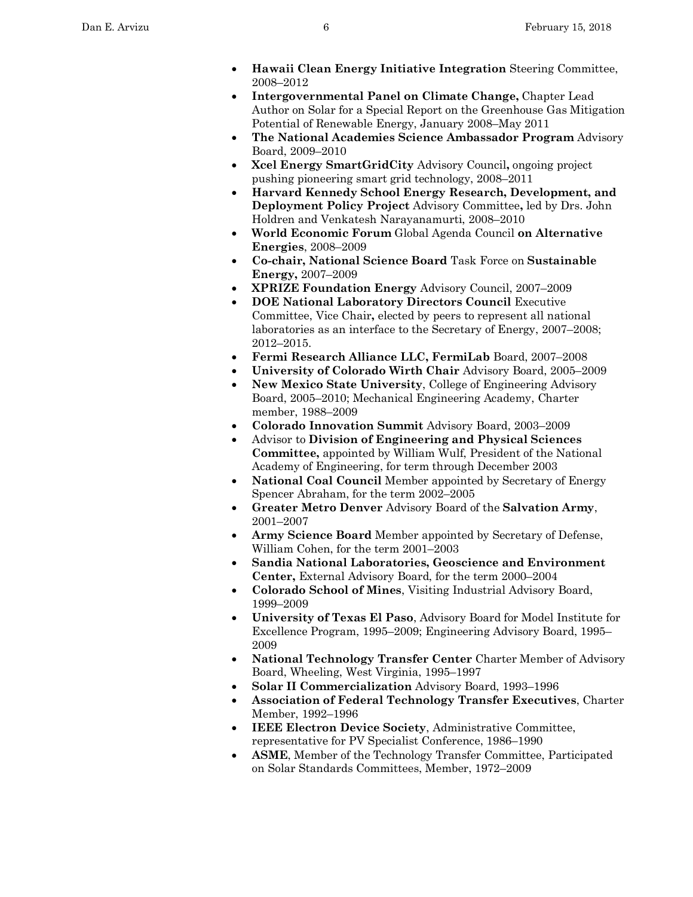- **Hawaii Clean Energy Initiative Integration** Steering Committee, 2008–2012
- **Intergovernmental Panel on Climate Change,** Chapter Lead Author on Solar for a Special Report on the Greenhouse Gas Mitigation Potential of Renewable Energy, January 2008–May 2011
- **The National Academies Science Ambassador Program** Advisory Board, 2009–2010
- **Xcel Energy SmartGridCity** Advisory Council**,** ongoing project pushing pioneering smart grid technology, 2008–2011
- **Harvard Kennedy School Energy Research, Development, and Deployment Policy Project** Advisory Committee**,** led by Drs. John Holdren and Venkatesh Narayanamurti, 2008–2010
- **World Economic Forum** Global Agenda Council **on Alternative Energies**, 2008–2009
- **Co-chair, National Science Board** Task Force on **Sustainable Energy,** 2007–2009
- **XPRIZE Foundation Energy** Advisory Council, 2007–2009
- **DOE National Laboratory Directors Council** Executive Committee, Vice Chair**,** elected by peers to represent all national laboratories as an interface to the Secretary of Energy, 2007–2008; 2012–2015.
- **Fermi Research Alliance LLC, FermiLab** Board, 2007–2008
- **University of Colorado Wirth Chair** Advisory Board, 2005–2009
- **New Mexico State University**, College of Engineering Advisory Board, 2005–2010; Mechanical Engineering Academy, Charter member, 1988–2009
- **Colorado Innovation Summit** Advisory Board, 2003–2009
- Advisor to **Division of Engineering and Physical Sciences Committee,** appointed by William Wulf, President of the National Academy of Engineering, for term through December 2003
- **National Coal Council** Member appointed by Secretary of Energy Spencer Abraham, for the term 2002–2005
- **Greater Metro Denver** Advisory Board of the **Salvation Army**, 2001–2007
- **Army Science Board** Member appointed by Secretary of Defense, William Cohen, for the term 2001–2003
- **Sandia National Laboratories, Geoscience and Environment Center,** External Advisory Board, for the term 2000–2004
- **Colorado School of Mines**, Visiting Industrial Advisory Board, 1999–2009
- **University of Texas El Paso**, Advisory Board for Model Institute for Excellence Program, 1995–2009; Engineering Advisory Board, 1995– 2009
- **National Technology Transfer Center** Charter Member of Advisory Board, Wheeling, West Virginia, 1995–1997
- **Solar II Commercialization** Advisory Board, 1993–1996
- **Association of Federal Technology Transfer Executives**, Charter Member, 1992–1996
- **IEEE Electron Device Society**, Administrative Committee, representative for PV Specialist Conference, 1986–1990
- **ASME**, Member of the Technology Transfer Committee, Participated on Solar Standards Committees, Member, 1972–2009